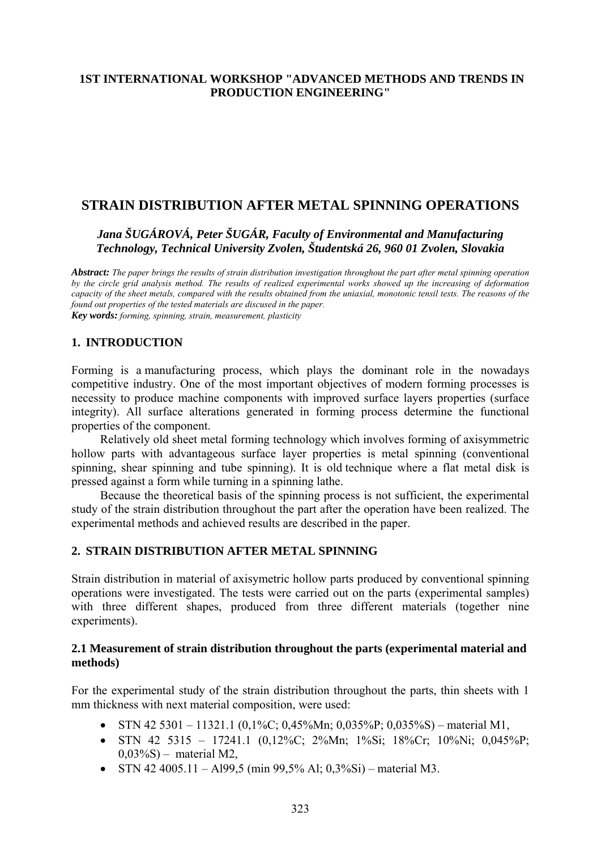### **1ST INTERNATIONAL WORKSHOP "ADVANCED METHODS AND TRENDS IN PRODUCTION ENGINEERING"**

# **STRAIN DISTRIBUTION AFTER METAL SPINNING OPERATIONS**

*Jana ŠUGÁROVÁ, Peter ŠUGÁR, Faculty of Environmental and Manufacturing Technology, Technical University Zvolen, Študentská 26, 960 01 Zvolen, Slovakia* 

*Abstract: The paper brings the results of strain distribution investigation throughout the part after metal spinning operation by the circle grid analysis method. The results of realized experimental works showed up the increasing of deformation capacity of the sheet metals, compared with the results obtained from the uniaxial, monotonic tensil tests. The reasons of the found out properties of the tested materials are discused in the paper. Key words: forming, spinning, strain, measurement, plasticity* 

# **1. INTRODUCTION**

Forming is a manufacturing process, which plays the dominant role in the nowadays competitive industry. One of the most important objectives of modern forming processes is necessity to produce machine components with improved surface layers properties (surface integrity). All surface alterations generated in forming process determine the functional properties of the component.

Relatively old sheet metal forming technology which involves forming of axisymmetric hollow parts with advantageous surface layer properties is metal spinning (conventional spinning, shear spinning and tube spinning). It is old technique where a flat metal disk is pressed against a form while turning in a spinning lathe.

Because the theoretical basis of the spinning process is not sufficient, the experimental study of the strain distribution throughout the part after the operation have been realized. The experimental methods and achieved results are described in the paper.

### **2. STRAIN DISTRIBUTION AFTER METAL SPINNING**

Strain distribution in material of axisymetric hollow parts produced by conventional spinning operations were investigated. The tests were carried out on the parts (experimental samples) with three different shapes, produced from three different materials (together nine experiments).

### **2.1 Measurement of strain distribution throughout the parts (experimental material and methods)**

For the experimental study of the strain distribution throughout the parts, thin sheets with 1 mm thickness with next material composition, were used:

- STN 42 5301 11321.1 (0.1%C; 0.45%Mn; 0.035%P; 0.035%S) material M1,
- STN 42 5315 17241.1 (0,12%C; 2%Mn; 1%Si; 18%Cr; 10%Ni; 0,045%P;  $0.03\%$ S) – material M2,
- STN 42 4005.11 Al99,5 (min 99,5% Al;  $0.3\%$ Si) material M3.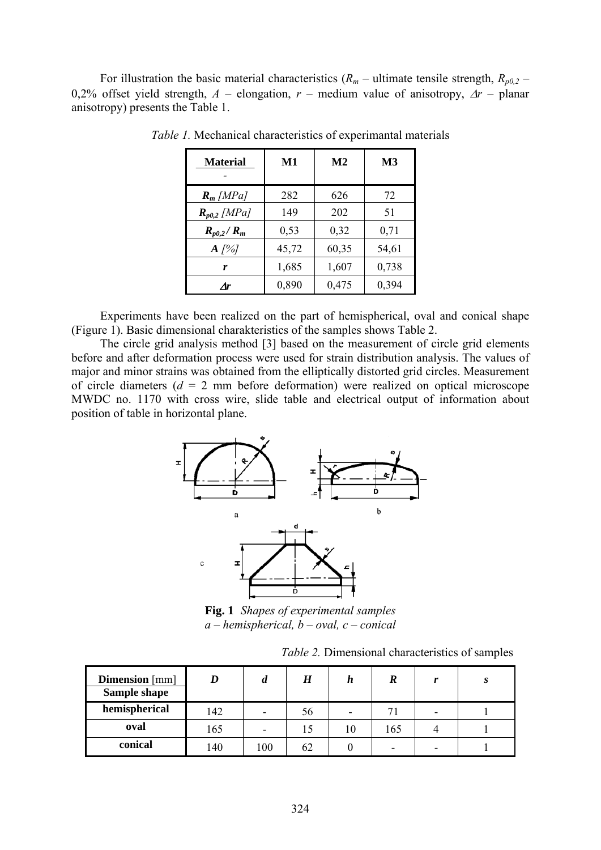For illustration the basic material characteristics  $(R_m -$ ultimate tensile strength,  $R_{p0,2} -$ 0,2% offset yield strength,  $A$  – elongation,  $r$  – medium value of anisotropy,  $\Delta r$  – planar anisotropy) presents the Table 1.

| <b>Material</b>           | M1    | $\mathbf{M2}$ | <b>M3</b> |  |
|---------------------------|-------|---------------|-----------|--|
| $R_m$ [MPa]               | 282   | 626           | 72        |  |
| $R_{p0,2}$ [MPa]          | 149   | 202           | 51        |  |
| $R_{p0,2}/R_m$            | 0,53  | 0,32          | 0,71      |  |
| $A \frac{\gamma}{\delta}$ | 45,72 | 60,35         | 54,61     |  |
| r                         | 1,685 | 1,607         | 0,738     |  |
| ٨r                        | 0,890 | 0,475         | 0,394     |  |

*Table 1.* Mechanical characteristics of experimantal materials

Experiments have been realized on the part of hemispherical, oval and conical shape (Figure 1). Basic dimensional charakteristics of the samples shows Table 2.

The circle grid analysis method [3] based on the measurement of circle grid elements before and after deformation process were used for strain distribution analysis. The values of major and minor strains was obtained from the elliptically distorted grid circles. Measurement of circle diameters  $(d = 2$  mm before deformation) were realized on optical microscope MWDC no. 1170 with cross wire, slide table and electrical output of information about position of table in horizontal plane.



**Fig. 1** *Shapes of experimental samples a – hemispherical, b – oval, c – conical* 

 *Table 2.* Dimensional characteristics of samples

| <b>Dimension</b> [mm]<br>Sample shape |     | a   | H  |    | R                        | S |
|---------------------------------------|-----|-----|----|----|--------------------------|---|
| hemispherical                         | 142 | -   | 56 |    | 71                       |   |
| oval                                  | 165 | -   |    | 10 | 165                      |   |
| conical                               | 140 | 100 | 62 |    | $\overline{\phantom{0}}$ |   |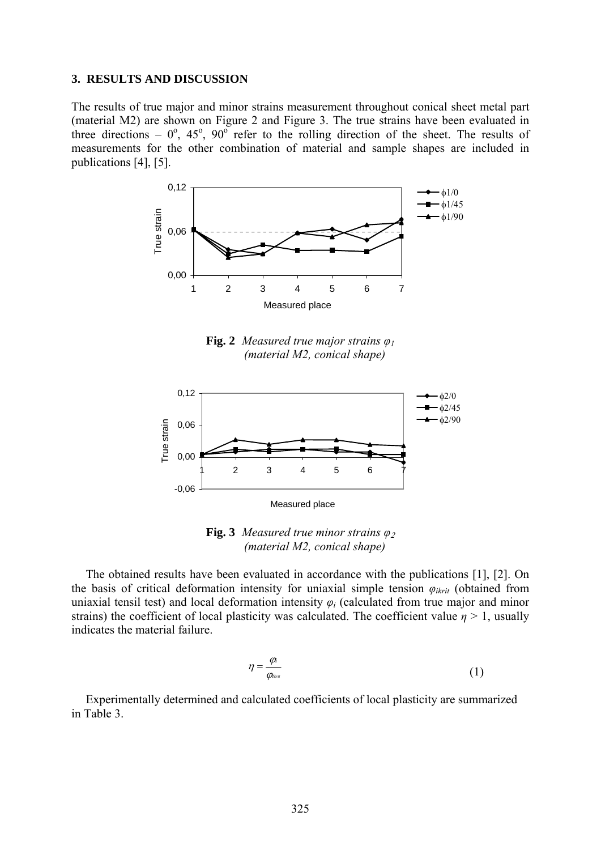#### **3. RESULTS AND DISCUSSION**

The results of true major and minor strains measurement throughout conical sheet metal part (material M2) are shown on Figure 2 and Figure 3. The true strains have been evaluated in three directions –  $0^{\circ}$ , 45°, 90° refer to the rolling direction of the sheet. The results of measurements for the other combination of material and sample shapes are included in publications [4], [5].



**Fig. 2** *Measured true major strains φ<sup>1</sup> (material M2, conical shape)*



**Fig. 3** *Measured true minor strains φ*<sup>2</sup> *(material M2, conical shape)* 

The obtained results have been evaluated in accordance with the publications [1], [2]. On the basis of critical deformation intensity for uniaxial simple tension *φikrit* (obtained from uniaxial tensil test) and local deformation intensity *φi* (calculated from true major and minor strains) the coefficient of local plasticity was calculated. The coefficient value  $\eta > 1$ , usually indicates the material failure.

$$
\eta = \frac{\varphi_i}{\varphi_{\scriptscriptstyle{k}}}
$$
\n<sup>(1)</sup>

Experimentally determined and calculated coefficients of local plasticity are summarized in Table 3.